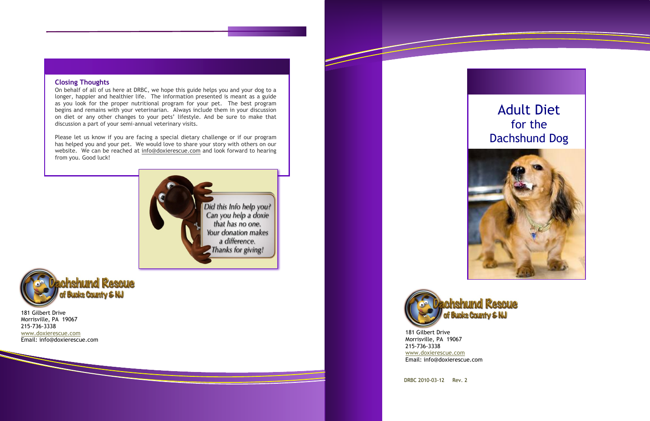DRBC 2010-03-12 Rev. 2

181 Gilbert Drive Morrisville, PA 19067 215-736-3338 [www.doxierescue.com](http://www.doxierescue.com/) Email: info@doxierescue.com

# Adult Diet for the Dachshund Dog



181 Gilbert Drive Morrisville, PA 19067 215-736-3338 [www.doxierescue.com](http://www.doxierescue.com/) Email: info@doxierescue.com



## **Closing Thoughts**

On behalf of all of us here at DRBC, we hope this guide helps you and your dog to a longer, happier and healthier life. The information presented is meant as a guide as you look for the proper nutritional program for your pet. The best program begins and remains with your veterinarian. Always include them in your discussion on diet or any other changes to your pets' lifestyle. And be sure to make that discussion a part of your semi-annual veterinary visits.

Please let us know if you are facing a special dietary challenge or if our program has helped you and your pet. We would love to share your story with others on our website. We can be reached at [info@doxierescue.com](mailto:info@doxierescue.com) and look forward to hearing from you. Good luck!



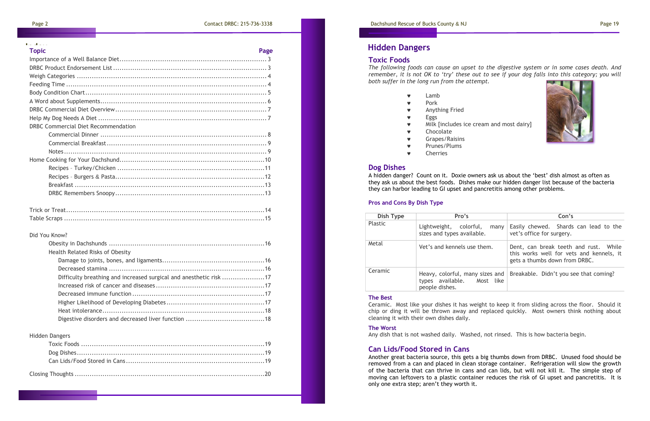| <b>Topic</b>                               | Page |
|--------------------------------------------|------|
|                                            |      |
|                                            |      |
|                                            |      |
|                                            |      |
|                                            |      |
|                                            |      |
|                                            |      |
|                                            |      |
| <b>DRBC Commercial Diet Recommendation</b> |      |
|                                            |      |
|                                            |      |
|                                            |      |
|                                            |      |
|                                            |      |
|                                            |      |
|                                            |      |
|                                            |      |
|                                            |      |

Table Scraps ..............................................................................................15

## Did You Know?

| Health Related Risks of Obesity                                    |  |
|--------------------------------------------------------------------|--|
|                                                                    |  |
|                                                                    |  |
| Difficulty breathing and increased surgical and anesthetic risk 17 |  |
|                                                                    |  |
|                                                                    |  |
|                                                                    |  |
|                                                                    |  |
|                                                                    |  |

### Hidden Dangers



## **Toxic Foods**

*The following foods can cause an upset to the digestive system or in some cases death. And remember, it is not OK to 'try' these out to see if your dog falls into this category; you will both suffer in the long run from the attempt.*

- Lamb
- **v** Pork
- Anything Fried
- **v** Eggs
- **w** Milk [includes ice cream and most dairy]
- Chocolate
- Grapes/Raisins
- **v** Prunes/Plums
- Cherries

## **Dog Dishes**

A hidden danger? Count on it. Doxie owners ask us about the 'best' dish almost as often as they ask us about the best foods. Dishes make our hidden danger list because of the bacteria they can harbor leading to GI upset and pancretitis among other problems.

## **Pros and Cons By Dish Type**

| Dish Type      | Pro's                                                        | Con's                                                                                                              |
|----------------|--------------------------------------------------------------|--------------------------------------------------------------------------------------------------------------------|
| <b>Plastic</b> | Lightweight, colorful,<br>many<br>sizes and types available. | Easily chewed. Shards can lead to the<br>vet's office for surgery.                                                 |
| Metal          | Vet's and kennels use them.                                  | Dent, can break teeth and rust. While<br>this works well for vets and kennels, it<br>gets a thumbs down from DRBC. |
| Ceramic        | types available. Most like<br>people dishes.                 | Heavy, colorful, many sizes and $\vert$ Breakable. Didn't you see that coming?                                     |

### **The Best**

Ceramic. Most like your dishes it has weight to keep it from sliding across the floor. Should it chip or ding it will be thrown away and replaced quickly. Most owners think nothing about cleaning it with their own dishes daily.

### **The Worst**

Any dish that is not washed daily. Washed, not rinsed. This is how bacteria begin.

## **Can Lids/Food Stored in Cans**

Another great bacteria source, this gets a big thumbs down from DRBC. Unused food should be removed from a can and placed in clean storage container. Refrigeration will slow the growth of the bacteria that can thrive in cans and can lids, but will not kill it. The simple step of moving can leftovers to a plastic container reduces the risk of GI upset and pancretitis. It is only one extra step; aren't they worth it.

|  | <b>Topic</b> |  |  |
|--|--------------|--|--|
|  | Importance   |  |  |

# **Hidden Dangers**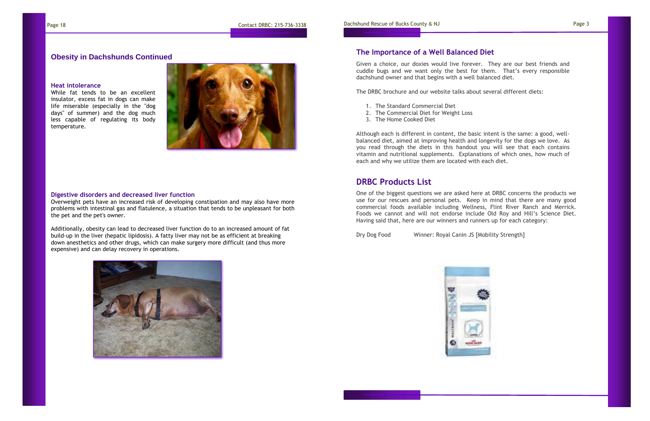One of the biggest questions we are asked here at DRBC concerns the products we use for our rescues and personal pets. Keep in mind that there are many good commercial foods available including Wellness, Flint River Ranch and Merrick. Foods we cannot and will not endorse include Old Roy and Hill's Science Diet. Having said that, here are our winners and runners up for each category:

Dry Dog Food Winner: Royal Canin JS [Mobility Strength]



Given a choice, our doxies would live forever. They are our best friends and cuddle bugs and we want only the best for them. That's every responsible dachshund owner and that begins with a well balanced diet.

The DRBC brochure and our website talks about several different diets:

- 1. The Standard Commercial Diet
- 2. The Commercial Diet for Weight Loss
- 3. The Home Cooked Diet

Although each is different in content, the basic intent is the same: a good, wellbalanced diet, aimed at improving health and longevity for the dogs we love. As you read through the diets in this handout you will see that each contains vitamin and nutritional supplements. Explanations of which ones, how much of each and why we utilize them are located with each diet.

# **The Importance of a Well Balanced Diet**

# **DRBC Products List**

## **Obesity in Dachshunds Continued**

### **Heat intolerance**

While fat tends to be an excellent insulator, excess fat in dogs can make life miserable (especially in the "dog days" of summer) and the dog much less capable of regulating its body temperature.



## **Digestive disorders and decreased liver function**

Overweight pets have an increased risk of developing constipation and may also have more problems with intestinal gas and flatulence, a situation that tends to be unpleasant for both the pet and the pet's owner.

Additionally, obesity can lead to decreased liver function do to an increased amount of fat build-up in the liver (hepatic lipidosis). A fatty liver may not be as efficient at breaking down anesthetics and other drugs, which can make surgery more difficult (and thus more expensive) and can delay recovery in operations.

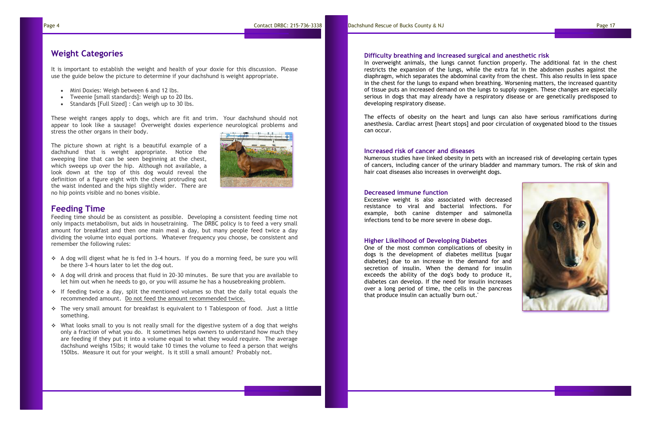# **Weight Categories**

It is important to establish the weight and health of your doxie for this discussion. Please use the guide below the picture to determine if your dachshund is weight appropriate.

- Mini Doxies: Weigh between 6 and 12 lbs.
- Tweenie [small standards]: Weigh up to 20 lbs.
- Standards [Full Sized] : Can weigh up to 30 lbs.

These weight ranges apply to dogs, which are fit and trim. Your dachshund should not appear to look like a sausage! Overweight doxies experience neurological problems and stress the other organs in their body.

The picture shown at right is a beautiful example of a dachshund that is weight appropriate. Notice the sweeping line that can be seen beginning at the chest, which sweeps up over the hip. Although not available, a look down at the top of this dog would reveal the definition of a figure eight with the chest protruding out the waist indented and the hips slightly wider. There are no hip points visible and no bones visible.



## **Feeding Time**

Feeding time should be as consistent as possible. Developing a consistent feeding time not only impacts metabolism, but aids in housetraining. The DRBC policy is to feed a very small amount for breakfast and then one main meal a day, but many people feed twice a day dividing the volume into equal portions. Whatever frequency you choose, be consistent and remember the following rules:

- ❖ A dog will digest what he is fed in 3-4 hours. If you do a morning feed, be sure you will be there 3-4 hours later to let the dog out.
- ❖ A dog will drink and process that fluid in 20-30 minutes. Be sure that you are available to let him out when he needs to go, or you will assume he has a housebreaking problem.
- ❖ If feeding twice a day, split the mentioned volumes so that the daily total equals the recommended amount. Do not feed the amount recommended twice.
- ❖ The very small amount for breakfast is equivalent to 1 Tablespoon of food. Just a little something.
- $\cdot \cdot$  What looks small to you is not really small for the digestive system of a dog that weighs only a fraction of what you do. It sometimes helps owners to understand how much they are feeding if they put it into a volume equal to what they would require. The average dachshund weighs 15lbs; it would take 10 times the volume to feed a person that weighs 150lbs. Measure it out for your weight. Is it still a small amount? Probably not.

## **Difficulty breathing and increased surgical and anesthetic risk**

In overweight animals, the lungs cannot function properly. The additional fat in the chest restricts the expansion of the lungs, while the extra fat in the abdomen pushes against the diaphragm, which separates the abdominal cavity from the chest. This also results in less space in the chest for the lungs to expand when breathing. Worsening matters, the increased quantity of tissue puts an increased demand on the lungs to supply oxygen. These changes are especially serious in dogs that may already have a respiratory disease or are genetically predisposed to developing respiratory disease.

The effects of obesity on the heart and lungs can also have serious ramifications during anesthesia. Cardiac arrest [heart stops] and poor circulation of oxygenated blood to the tissues can occur.

## **Increased risk of cancer and diseases**

Numerous studies have linked obesity in pets with an increased risk of developing certain types of cancers, including cancer of the urinary bladder and mammary tumors. The risk of skin and hair coat diseases also increases in overweight dogs.

## **Decreased immune function**

Excessive weight is also associated with decreased resistance to viral and bacterial infections. For example, both canine distemper and salmonella infections tend to be more severe in obese dogs.

### **Higher Likelihood of Developing Diabetes**

One of the most common complications of obesity in dogs is the development of diabetes mellitus [sugar diabetes] due to an increase in the demand for and secretion of insulin. When the demand for insulin exceeds the ability of the dog's body to produce it, diabetes can develop. If the need for insulin increases over a long period of time, the cells in the pancreas that produce insulin can actually 'burn out.'

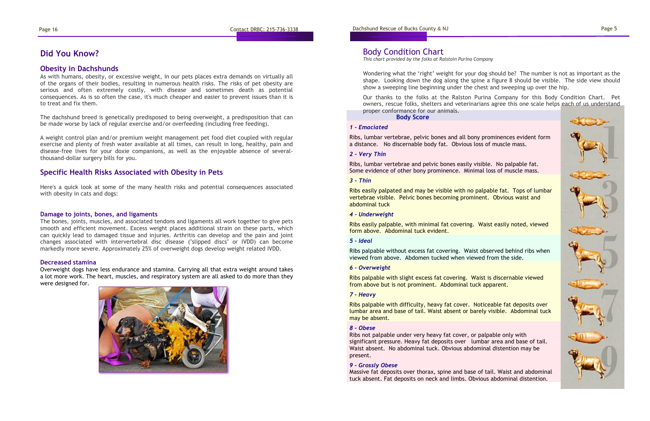Page 16 Contact DRBC: 215-736-3338 Dachshund Rescue of Bucks County & NJ Page 5

### *1 - Emaciated*

Ribs, lumbar vertebrae, pelvic bones and all bony prominences evident form a distance. No discernable body fat. Obvious loss of muscle mass.

## *2 - Very Thin*

Ribs, lumbar vertebrae and pelvic bones easily visible. No palpable fat. Some evidence of other bony prominence. Minimal loss of muscle mass.

## *3 - Thin*

Ribs easily palpated and may be visible with no palpable fat. Tops of lumbar vertebrae visible. Pelvic bones becoming prominent. Obvious waist and abdominal tuck

### *4 - Underweight*

Ribs easily palpable, with minimal fat covering. Waist easily noted, viewed form above. Abdominal tuck evident.

## *5 - Ideal*

Ribs palpable without excess fat covering. Waist observed behind ribs when viewed from above. Abdomen tucked when viewed from the side.

### *6 - Overweight*

Ribs palpable with slight excess fat covering. Waist is discernable viewed from above but is not prominent. Abdominal tuck apparent.

### *7 - Heavy*

Ribs palpable with difficulty, heavy fat cover. Noticeable fat deposits over lumbar area and base of tail. Waist absent or barely visible. Abdominal tuck may be absent.

**Body Score** Our thanks to the folks at the Ralston Purina Company for this Body Condition Chart. Pet owners, rescue folks, shelters and veterinarians agree this one scale helps each of us understand proper conformance for our animals.

### *8 - Obese*

Ribs not palpable under very heavy fat cover, or palpable only with significant pressure. Heavy fat deposits over lumbar area and base of tail. Waist absent. No abdominal tuck. Obvious abdominal distention may be present.

### *9 - Grossly Obese*

Massive fat deposits over thorax, spine and base of tail. Waist and abdominal tuck absent. Fat deposits on neck and limbs. Obvious abdominal distention.



Wondering what the 'right' weight for your dog should be? The number is not as important as the shape. Looking down the dog along the spine a figure 8 should be visible. The side view should show a sweeping line beginning under the chest and sweeping up over the hip.

# Body Condition Chart

*This chart provided by the folks at Ralstoin Purina Company*

## **Obesity in Dachshunds**

As with humans, obesity, or excessive weight, in our pets places extra demands on virtually all of the organs of their bodies, resulting in numerous health risks. The risks of pet obesity are serious and often extremely costly, with disease and sometimes death as potential consequences. As is so often the case, it's much cheaper and easier to prevent issues than it is to treat and fix them.

The dachshund breed is genetically predisposed to being overweight, a predisposition that can be made worse by lack of regular exercise and/or overfeeding (including free feeding).

A weight control plan and/or premium weight management pet food diet coupled with regular exercise and plenty of fresh water available at all times, can result in long, healthy, pain and disease-free lives for your doxie companions, as well as the enjoyable absence of severalthousand-dollar surgery bills for you.

## **Specific Health Risks Associated with Obesity in Pets**

Here's a quick look at some of the many health risks and potential consequences associated with obesity in cats and dogs:

## **Damage to joints, bones, and ligaments**

The bones, joints, muscles, and associated tendons and ligaments all work together to give pets smooth and efficient movement. Excess weight places additional strain on these parts, which can quickly lead to damaged tissue and injuries. Arthritis can develop and the pain and joint changes associated with intervertebral disc disease ("slipped discs" or IVDD) can become markedly more severe. Approximately 25% of overweight dogs develop weight related IVDD.

## **Decreased stamina**

Overweight dogs have less endurance and stamina. Carrying all that extra weight around takes a lot more work. The heart, muscles, and respiratory system are all asked to do more than they were designed for.



# **Did You Know?**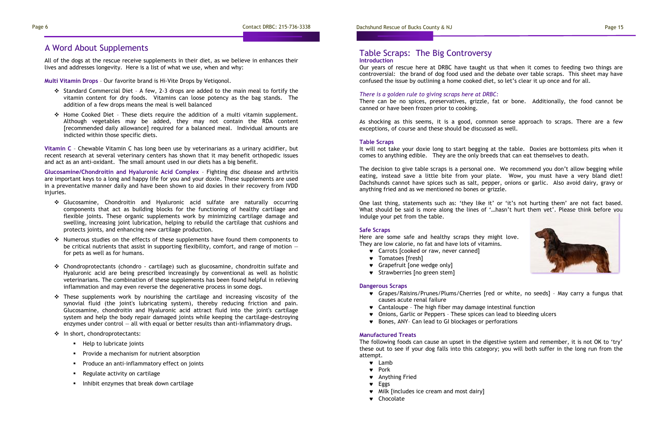# A Word About Supplements

All of the dogs at the rescue receive supplements in their diet, as we believe in enhances their lives and addresses longevity. Here is a list of what we use, when and why:

**Multi Vitamin Drops** – Our favorite brand is Hi-Vite Drops by Vetiqonol.

- ❖ Standard Commercial Diet A few, 2-3 drops are added to the main meal to fortify the vitamin content for dry foods. Vitamins can loose potency as the bag stands. The addition of a few drops means the meal is well balanced
- ❖ Home Cooked Diet These diets require the addition of a multi vitamin supplement. Although vegetables may be added, they may not contain the RDA content [recommended daily allowance] required for a balanced meal. Individual amounts are indicted within those specific diets.

**Vitamin C** – Chewable Vitamin C has long been use by veterinarians as a urinary acidifier, but recent research at several veterinary centers has shown that it may benefit orthopedic issues and act as an anti-oxidant. The small amount used in our diets has a big benefit.

**Glucosamine/Chondroitin and Hyaluronic Acid Complex** – Fighting disc disease and arthritis are important keys to a long and happy life for you and your doxie. These supplements are used in a preventative manner daily and have been shown to aid doxies in their recovery from IVDD injuries.

- ❖ Glucosamine, Chondroitin and Hyaluronic acid sulfate are naturally occurring components that act as building blocks for the functioning of healthy cartilage and flexible joints. These organic supplements work by minimizing cartilage damage and swelling, increasing joint lubrication, helping to rebuild the cartilage that cushions and protects joints, and enhancing new cartilage production.
- ❖ Numerous studies on the effects of these supplements have found them components to be critical nutrients that assist in supporting flexibility, comfort, and range of motion  $$ for pets as well as for humans.
- ❖ Chondroprotectants (chondro cartilage) such as glucosamine, chondroitin sulfate and Hyaluronic acid are being prescribed increasingly by conventional as well as holistic veterinarians. The combination of these supplements has been found helpful in relieving inflammation and may even reverse the degenerative process in some dogs.
- $\div$  These supplements work by nourishing the cartilage and increasing viscosity of the synovial fluid (the joint's lubricating system), thereby reducing friction and pain. Glucosamine, chondroitin and Hyaluronic acid attract fluid into the joint's cartilage system and help the body repair damaged joints while keeping the cartilage-destroying enzymes under control  $-$  all with equal or better results than anti-inflammatory drugs.
- ❖ In short, chondroprotectants:
	- Help to lubricate joints
	- Provide a mechanism for nutrient absorption
	- Produce an anti-inflammatory effect on joints
	- Regulate activity on cartilage
	- Inhibit enzymes that break down cartilage

Our years of rescue here at DRBC have taught us that when it comes to feeding two things are controversial: the brand of dog food used and the debate over table scraps. This sheet may have confused the issue by outlining a home cooked diet, so let's clear it up once and for all.

*There is a golden rule to giving scraps here at DRBC:* 

There can be no spices, preservatives, grizzle, fat or bone. Additionally, the food cannot be canned or have been frozen prior to cooking.

As shocking as this seems, it is a good, common sense approach to scraps. There are a few exceptions, of course and these should be discussed as well.

## **Table Scraps**

It will not take your doxie long to start begging at the table. Doxies are bottomless pits when it comes to anything edible. They are the only breeds that can eat themselves to death.

The decision to give table scraps is a personal one. We recommend you don't allow begging while eating, instead save a little bite from your plate. Wow, you must have a very bland diet! Dachshunds cannot have spices such as salt, pepper, onions or garlic. Also avoid dairy, gravy or anything fried and as we mentioned no bones or grizzle.

## **Introduction**  Table Scraps: The Big Controversy

One last thing, statements such as: 'they like it' or 'it's not hurting them' are not fact based. What should be said is more along the lines of '…hasn't hurt them yet'. Please think before you indulge your pet from the table.

### **Safe Scraps**

Here are some safe and healthy scraps they might love. They are low calorie, no fat and have lots of vitamins.

- **v** Carrots [cooked or raw, never canned]
- **v** Tomatoes [fresh]
- Grapefruit [one wedge only]
- **v** Strawberries [no green stem]

## **Dangerous Scraps**

Grapes/Raisins/Prunes/Plums/Cherries [red or white, no seeds] – May carry a fungus that

- causes acute renal failure
- Cantaloupe The high fiber may damage intestinal function
- Onions, Garlic or Peppers These spices can lead to bleeding ulcers
- Bones, ANY– Can lead to GI blockages or perforations

### **Manufactured Treats**

The following foods can cause an upset in the digestive system and remember, it is not OK to 'try' these out to see if your dog falls into this category; you will both suffer in the long run from the attempt.

- Lamb
- **v** Pork
- Anything Fried
- **v** Eggs
- $\bullet$  Milk [includes ice cream and most dairy]
- Chocolate

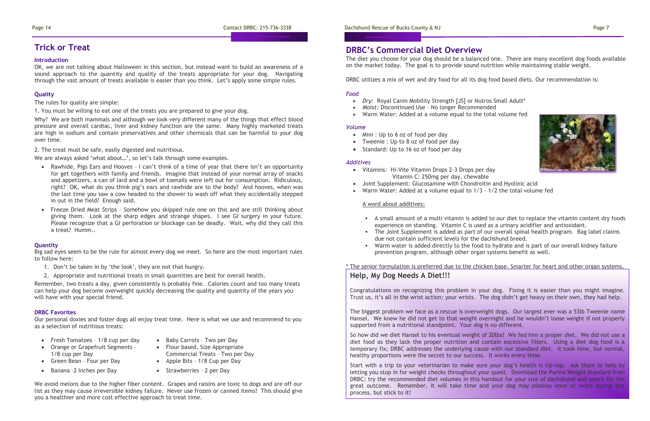## Page 14 Contact DRBC: 215-736-3338 Dachshund Rescue of Bucks County & NJ Page 7

The diet you choose for your dog should be a balanced one. There are many excellent dog foods available on the market today. The goal is to provide sound nutrition while maintaining stable weight.

DRBC utilizes a mix of wet and dry food for all its dog food based diets. Our recommendation is:

- Mini : Up to 6 oz of food per day
- Tweenie : Up to 8 oz of food per day
- Standard: Up to 16 oz of food per day

## *Food*

- *Dry:* Royal Canin Mobility Strength [JS] or Nutros Small Adult\*
- *Moist:* Discontinued Use No longer Recommended
- Warm Water: Added at a volume equal to the total volume fed

## *Volume*

## *Additives*

- Vitamins: Hi-Vite Vitamin Drops 2-3 Drops per day Vitamin C: 250mg per day, chewable
- Joint Supplement: Glucosamine with Chondroitin and Hyolinic acid
- Warm Water: Added at a volume equal to 1/3 1/2 the total volume fed

## A word about additives:

▪ A small amount of a multi vitamin is added to our diet to replace the vitamin content dry foods experience on standing. Vitamin C is used as a urinary acidifier and antioxidant.

▪ The Joint Supplement is added as part of our overall spinal health program. Bag label claims

**■** Warm water is added directly to the food to hydrate and is part of our overall kidney failure

- 
- due not contain sufficient levels for the dachshund breed.
- prevention program, although other organ systems benefit as well.

\* The senior formulation is preferred due to the chicken base. Smarter for heart and other organ systems,

# Help, My Dog Needs A Diet!!!

# **DRBC's Commercial Diet Overview**

Congratulations on recognizing this problem in your dog. Fixing it is easier than you might imagine. Trust us, it's all in the wrist action; your wrists. The dog didn't get heavy on their own, they had help.

The biggest problem we face as a rescue is overweight dogs. Our largest ever was a 53lb Tweenie name Hansel. We knew he did not get to that weight overnight and he wouldn't loose weight if not properly supported from a nutritional standpoint. Your dog is no different.

- Rawhide, Pigs Ears and Hooves I can't think of a time of year that there isn't an opportunity for get togethers with family and friends. Imagine that instead of your normal array of snacks and appetizers, a can of lard and a bowl of toenails were left out for consumption. Ridiculous, right? OK, what do you think pig's ears and rawhide are to the body? And hooves, when was the last time you saw a cow headed to the shower to wash off what they accidentally stepped in out in the field? Enough said.
- Freeze Dried Meat Strips Somehow you skipped rule one on this and are still thinking about giving them. Look at the sharp edges and strange shapes. I see GI surgery in your future. Please recognize that a GI perforation or blockage can be deadly. Wait, why did they call this a treat? Humm..

So how did we diet Hansel to his eventual weight of 20lbs? We fed him a proper diet. We did not use a diet food as they lack the proper nutrition and contain excessive fillers. Using a diet dog food is a temporary fix; DRBC addresses the underlying cause with our standard diet. It took time, but normal, healthy proportions were the secret to our success. It works every time.

- 
- Flour based, Size Appropriate Commercial Treats – Two per Day
- 
- Banana -2 Inches per Day Strawberries 2 per Day

Start with a trip to your veterinarian to make sure your dog's health is tip-top. Ask them to help by letting you stop in for weight checks throughout your quest. Download the Purina Weight Standard from DRBC; try the recommended diet volumes in this handout for your size of dachshund and watch for the great outcome. Remember, it will take time and your dog may plateau once or twice during this process, but stick to it!



## **Introduction**

OK, we are not talking about Halloween in this section, but instead want to build an awareness of a sound approach to the quantity and quality of the treats appropriate for your dog. Navigating through the vast amount of treats available is easier than you think. Let's apply some simple rules.

## **Quality**

The rules for quality are simple:

1. You must be willing to eat one of the treats you are prepared to give your dog.

Why? We are both mammals and although we look very different many of the things that effect blood pressure and overall cardiac, liver and kidney function are the same. Many highly marketed treats are high in sodium and contain preservatives and other chemicals that can be harmful to your dog over time.

2. The treat must be safe, easily digested and nutritious.

We are always asked 'what about…', so let's talk through some examples.

## **Quantity**

Big sad eyes seem to be the rule for almost every dog we meet. So here are the most important rules to follow here:

- 1. Don't be taken in by 'the look', they are not that hungry.
- 2. Appropriate and nutritional treats in small quantities are best for overall health.

Remember, two treats a day, given consistently is probably fine. Calories count and too many treats can help your dog become overweight quickly decreasing the quality and quantity of the years you will have with your special friend.

## **DRBC Favorites**

Our personal doxies and foster dogs all enjoy treat time. Here is what we use and recommend to you as a selection of nutritious treats:

- Fresh Tomatoes 1/8 cup per day Baby Carrots Two per Day
- Orange or Grapefruit Segments 1/8 cup per Day
- Green Bean Four per Day Apple Bits 1/8 Cup per Day
- 

We avoid melons due to the higher fiber content. Grapes and raisins are toxic to dogs and are off our list as they may cause irreversible kidney failure. Never use frozen or canned items! This should give you a healthier and more cost effective approach to treat time.

# **Trick or Treat**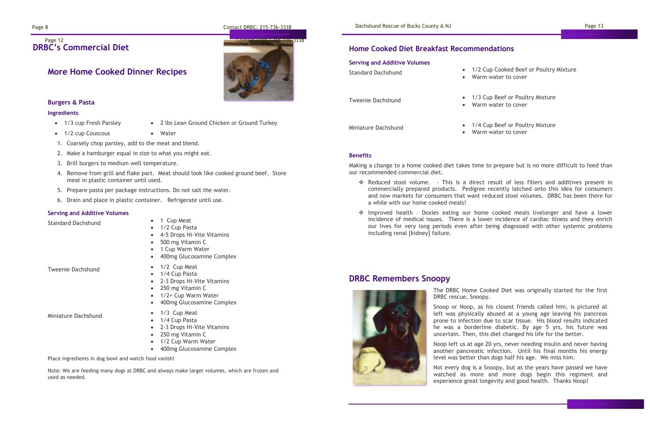Page 8 Contact DRBC: 215-736-3338 Contact DRBC: 215-736-3338 Dachshund Rescue of Bucks County & NJ

## **DRBC's Commercial Diet**  Page 12 **Contact DRBC: 215-736-3338**

## **Burgers & Pasta**

## **Ingredients**

- 1/3 cup Fresh Parsley 2 lbs Lean Ground Chicken or Ground Turkey
- 1/2 cup Couscous Water
- 1. Coarsely chop parsley, add to the meat and blend.
- 2. Make a hamburger equal in size to what you might eat.
- 3. Brill burgers to medium well temperature.
- 4. Remove from grill and flake part. Meat should look like cooked ground beef. Store meat in plastic container until used.
- 5. Prepare pasta per package instructions. Do not salt the water.
- 6. Drain and place in plastic container. Refrigerate until use.

- Standard Dachshund 1 Cup Meat
	- 1/2 Cup Pasta • 4-5 Drops Hi-Vite Vitamins
	- 500 mg Vitamin C
	- 1 Cup Warm Water
	- 400mg Glucosamine Complex

- Tweenie Dachshund 1/2 Cup Meat
	- 1/4 Cup Pasta
	- 2-3 Drops Hi-Vite Vitamins • 250 mg Vitamin C
	- 1/2+ Cup Warm Water
	- 400mg Glucosamine Complex

Miniature Dachshund • 1/3 Cup Meat

## **Serving and Additive Volumes**

- 
- 1/4 Cup Pasta
- 2-3 Drops Hi-Vite Vitamins
- 250 mg Vitamin C
- 1/2 Cup Warm Water
- 400mg Glucosamine Complex

Place ingredients in dog bowl and watch food vanish!

Note: We are feeding many dogs at DRBC and always make larger volumes, which are frozen and used as needed.



/2 Cup Cooked Beef or Poultry Mixture arm water to cover

3 Cup Beef or Poultry Mixture arm water to cover

/4 Cup Beef or Poultry Mixture 'arm water to cover



# **DRBC Remembers Snoopy**

The DRBC Home Cooked Diet was originally started for the first



Snoop or Noop, as his closest friends called him, is pictured at left was physically abused at a young age leaving his pancreas prone to infection due to scar tissue. His blood results indicated he was a borderline diabetic. By age 5 yrs, his future was uncertain. Then, this diet changed his life for the better.

Noop left us at age 20 yrs, never needing insulin and never having another pancreatic infection. Until his final months his energy level was better than dogs half his age. We miss him.

Not every dog is a Snoopy, but as the years have passed we have watched as more and more dogs begin this regiment and experience great longevity and good health. Thanks Noop!

# **Home Cooked Diet Breakfast Recommendations**

| <b>Serving and Additive Volumes</b><br><b>Standard Dachshund</b> | 1 ,<br>W |
|------------------------------------------------------------------|----------|
| <b>Tweenie Dachshund</b>                                         | 1 ,<br>W |
| Miniature Dachshund                                              |          |

## **Benefits**

Making a change to a home cooked diet takes time to prepare but is no more difficult to feed than our recommended commercial diet.

❖ Reduced stool volume. - This is a direct result of less fillers and additives present in commercially prepared products. Pedigree recently latched onto this idea for consumers and now markets for consumers that want reduced stool volumes. DRBC has been there for

- a while with our home cooked meals!
- including renal [kidney] failure.

❖ Improved health – Doxies eating our home cooked meals livelonger and have a lower incidence of medical issues. There is a lower incidence of cardiac illness and they enrich our lives for very long periods even after being diagnosed with other systemic problems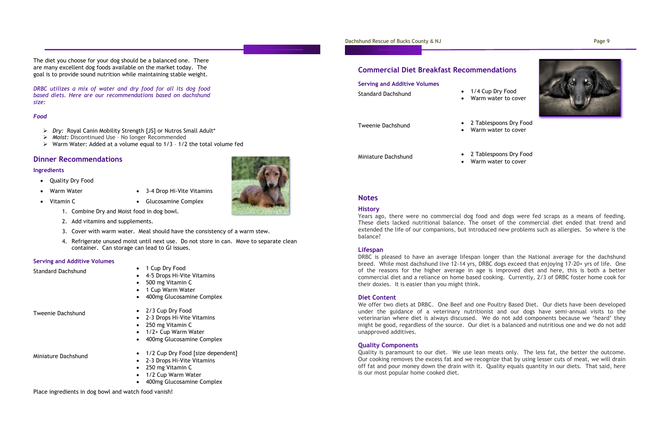The diet you choose for your dog should be a balanced one. There are many excellent dog foods available on the market today. The goal is to provide sound nutrition while maintaining stable weight.

- Quality Dry Food
- Warm Water 3-4 Drop Hi-Vite Vitamins
- 

*DRBC utilizes a mix of water and dry food for all its dog food based diets. Here are our recommendations based on dachshund size:*

### *Food*

- ➢ *Dry:* Royal Canin Mobility Strength [JS] or Nutros Small Adult\*
- ➢ *Moist:* Discontinued Use No longer Recommended
- ➢ Warm Water: Added at a volume equal to 1/3 1/2 the total volume fed

- Standard Dachshund 1 Cup Dry Food
	- 4-5 Drops Hi-Vite Vitamins
	- 500 mg Vitamin C
	- 1 Cup Warm Water
	- 400mg Glucosamine Complex

## **Dinner Recommendations**

## **Ingredients**

- Tweenie Dachshund 2/3 Cup Dry Food
	- 2-3 Drops Hi-Vite Vitamins
	- 250 mg Vitamin C
	- 1/2+ Cup Warm Water
	- 400mg Glucosamine Complex

- 
- Vitamin C Glucosamine Complex
	- 1. Combine Dry and Moist food in dog bowl.
	- 2. Add vitamins and supplements.
	- 3. Cover with warm water. Meal should have the consistency of a warm stew.
	- 4. Refrigerate unused moist until next use. Do not store in can. Move to separate clean container. Can storage can lead to GI issues.

## **Serving and Additive Volumes**

- Miniature Dachshund 1/2 Cup Dry Food [size dependent]
	- 2-3 Drops Hi-Vite Vitamins
	- 250 mg Vitamin C
	- 1/2 Cup Warm Water
	- 400mg Glucosamine Complex

Place ingredients in dog bowl and watch food vanish!

## Dachshund Rescue of Bucks County & NJ Page 9

## **Commercial Diet Breakfast Recommendations**

| <b>Standard Dachshund</b> | 1/4 Cup Dry Food |
|---------------------------|------------------|
|                           | Warm water to co |

• Warm water to cover

Tweenie Dachshund • 2 Tablespoons Dry Food • Warm water to cover



Miniature Dachshund • 2 Tablespoons Dry Food • Warm water to cover

# **Notes**

## **History**

Years ago, there were no commercial dog food and dogs were fed scraps as a means of feeding. These diets lacked nutritional balance. The onset of the commercial diet ended that trend and extended the life of our companions, but introduced new problems such as allergies. So where is the balance?

## **Lifespan**

DRBC is pleased to have an average lifespan longer than the National average for the dachshund breed. While most dachshund live 12-14 yrs, DRBC dogs exceed that enjoying 17-20+ yrs of life. One of the reasons for the higher average in age is improved diet and here, this is both a better commercial diet and a reliance on home based cooking. Currently, 2/3 of DRBC foster home cook for their doxies. It is easier than you might think.

## **Diet Content**

We offer two diets at DRBC. One Beef and one Poultry Based Diet. Our diets have been developed under the guidance of a veterinary nutritionist and our dogs have semi-annual visits to the veterinarian where diet is always discussed. We do not add components because we 'heard' they might be good, regardless of the source. Our diet is a balanced and nutritious one and we do not add unapproved additives.

## **Quality Components**

Quality is paramount to our diet. We use lean meats only. The less fat, the better the outcome. Our cooking removes the excess fat and we recognize that by using lesser cuts of meat, we will drain off fat and pour money down the drain with it. Quality equals quantity in our diets. That said, here is our most popular home cooked diet.